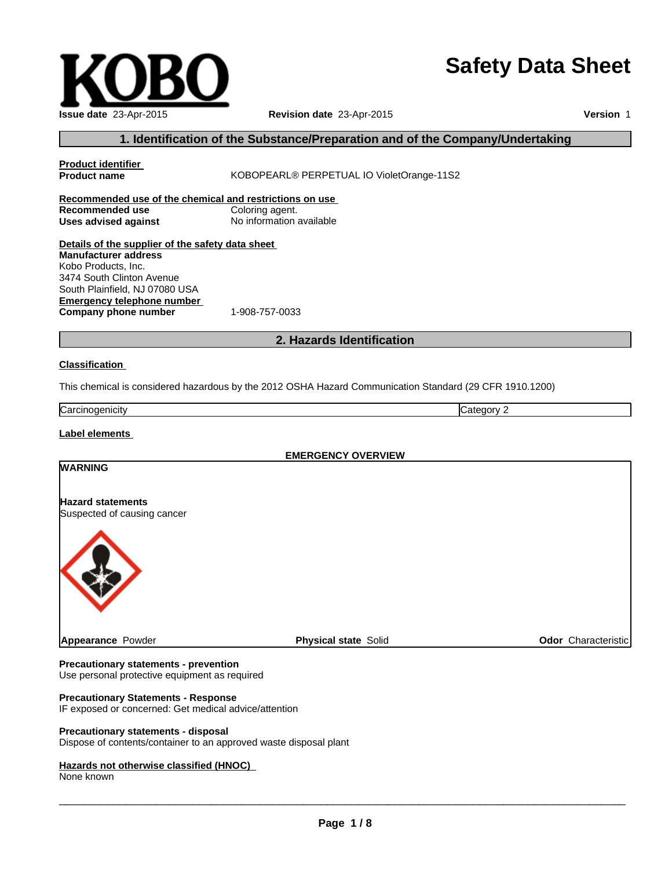# **Safety Data Sheet**

| Issue date 23-Apr-2015  |
|-------------------------|
| 1. Identification of th |

# **Revision date** 23-Apr-2015

**Version** 1

# **1. Italy 1. In the Substance / Preparation and of the Company/Undertaking**

| <b>Product identifier</b>                                        |                                                                                                         |                            |  |
|------------------------------------------------------------------|---------------------------------------------------------------------------------------------------------|----------------------------|--|
| KOBOPEARL® PERPETUAL IO VioletOrange-11S2<br><b>Product name</b> |                                                                                                         |                            |  |
| Recommended use of the chemical and restrictions on use          |                                                                                                         |                            |  |
| <b>Recommended use</b>                                           | Coloring agent.                                                                                         |                            |  |
| No information available<br><b>Uses advised against</b>          |                                                                                                         |                            |  |
| Details of the supplier of the safety data sheet                 |                                                                                                         |                            |  |
| <b>Manufacturer address</b>                                      |                                                                                                         |                            |  |
| Kobo Products, Inc.                                              |                                                                                                         |                            |  |
| 3474 South Clinton Avenue                                        |                                                                                                         |                            |  |
| South Plainfield, NJ 07080 USA                                   |                                                                                                         |                            |  |
| <b>Emergency telephone number</b>                                |                                                                                                         |                            |  |
| Company phone number                                             | 1-908-757-0033                                                                                          |                            |  |
|                                                                  | 2. Hazards Identification                                                                               |                            |  |
| <b>Classification</b>                                            |                                                                                                         |                            |  |
|                                                                  |                                                                                                         |                            |  |
|                                                                  | This chemical is considered hazardous by the 2012 OSHA Hazard Communication Standard (29 CFR 1910.1200) |                            |  |
| Carcinogenicity                                                  | Category 2                                                                                              |                            |  |
| Label elements                                                   |                                                                                                         |                            |  |
|                                                                  | <b>EMERGENCY OVERVIEW</b>                                                                               |                            |  |
| <b>WARNING</b>                                                   |                                                                                                         |                            |  |
|                                                                  |                                                                                                         |                            |  |
| <b>Hazard statements</b>                                         |                                                                                                         |                            |  |
| Suspected of causing cancer                                      |                                                                                                         |                            |  |
|                                                                  |                                                                                                         |                            |  |
|                                                                  |                                                                                                         |                            |  |
| Appearance Powder                                                | <b>Physical state Solid</b>                                                                             | <b>Odor</b> Characteristic |  |
|                                                                  |                                                                                                         |                            |  |

### **Precautionary statements - prevention**

Use personal protective equipment as required

# **Precautionary Statements - Response**

IF exposed or concerned: Get medical advice/attention

## **Precautionary statements - disposal**

Dispose of contents/container to an approved waste disposal plant

# **Hazards not otherwise classified (HNOC)**

None known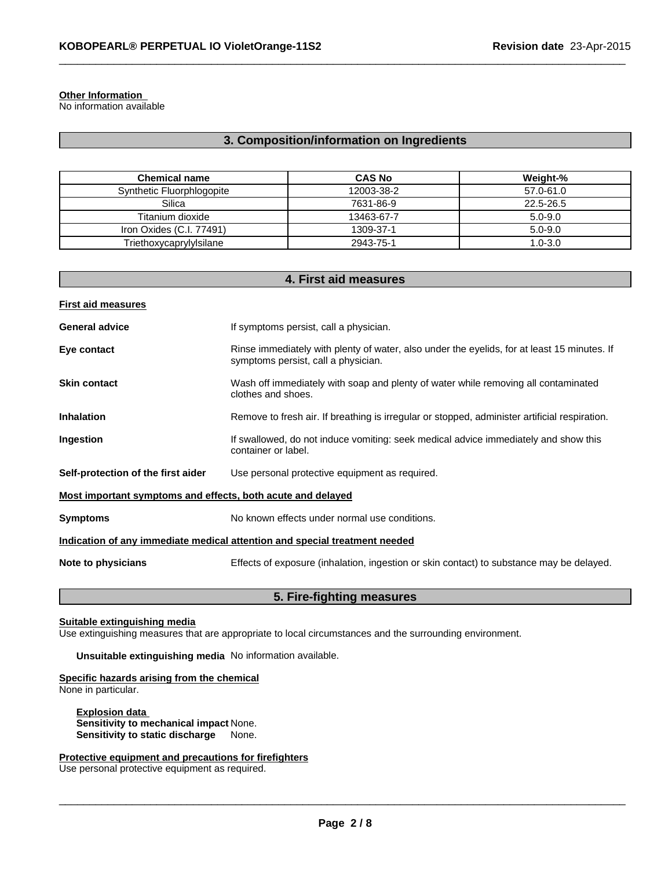#### **Other Information**

No information available

# **3. Composition/information on Ingredients**

 $\_$  , and the set of the set of the set of the set of the set of the set of the set of the set of the set of the set of the set of the set of the set of the set of the set of the set of the set of the set of the set of th

| <b>Chemical name</b>      | <b>CAS No</b> | Weight-%    |
|---------------------------|---------------|-------------|
| Synthetic Fluorphlogopite | 12003-38-2    | 57.0-61.0   |
| Silica                    | 7631-86-9     | 22.5-26.5   |
| Titanium dioxide          | 13463-67-7    | 5.0-9.0     |
| Iron Oxides (C.I. 77491)  | 1309-37-1     | $5.0 - 9.0$ |
| Triethoxycaprylylsilane   | 2943-75-1     | $1.0 - 3.0$ |

| 4. First aid measures                                                      |                                                                                                                                    |  |  |  |
|----------------------------------------------------------------------------|------------------------------------------------------------------------------------------------------------------------------------|--|--|--|
| <b>First aid measures</b>                                                  |                                                                                                                                    |  |  |  |
| <b>General advice</b>                                                      | If symptoms persist, call a physician.                                                                                             |  |  |  |
| Eye contact                                                                | Rinse immediately with plenty of water, also under the eyelids, for at least 15 minutes. If<br>symptoms persist, call a physician. |  |  |  |
| <b>Skin contact</b>                                                        | Wash off immediately with soap and plenty of water while removing all contaminated<br>clothes and shoes.                           |  |  |  |
| <b>Inhalation</b>                                                          | Remove to fresh air. If breathing is irregular or stopped, administer artificial respiration.                                      |  |  |  |
| Ingestion                                                                  | If swallowed, do not induce vomiting: seek medical advice immediately and show this<br>container or label.                         |  |  |  |
| Self-protection of the first aider                                         | Use personal protective equipment as required.                                                                                     |  |  |  |
| Most important symptoms and effects, both acute and delayed                |                                                                                                                                    |  |  |  |
| <b>Symptoms</b>                                                            | No known effects under normal use conditions.                                                                                      |  |  |  |
| Indication of any immediate medical attention and special treatment needed |                                                                                                                                    |  |  |  |
| Note to physicians                                                         | Effects of exposure (inhalation, ingestion or skin contact) to substance may be delayed.                                           |  |  |  |
|                                                                            |                                                                                                                                    |  |  |  |

# **5. Fire-fighting measures**

# **Suitable extinguishing media**

Use extinguishing measures that are appropriate to local circumstances and the surrounding environment.

**Unsuitable extinguishing media** No information available.

#### **Specific hazards arising from the chemical** None in particular.

**Explosion data Sensitivity to mechanical impact** None. **Sensitivity to static discharge** None.

# **Protective equipment and precautions for firefighters**

Use personal protective equipment as required.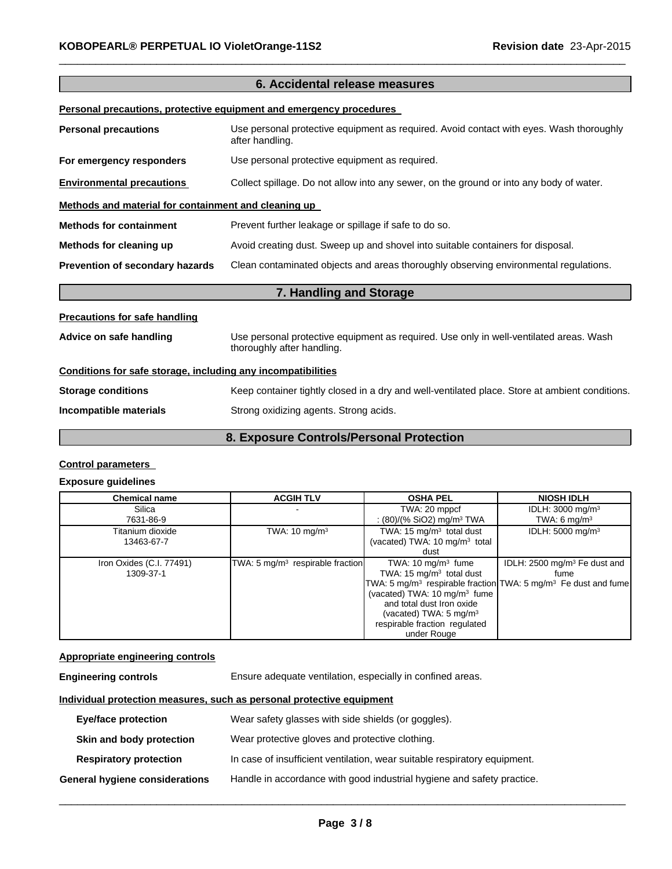|                                                              | 6. Accidental release measures                                                                                       |  |
|--------------------------------------------------------------|----------------------------------------------------------------------------------------------------------------------|--|
|                                                              | Personal precautions, protective equipment and emergency procedures                                                  |  |
| <b>Personal precautions</b>                                  | Use personal protective equipment as required. Avoid contact with eyes. Wash thoroughly<br>after handling.           |  |
| For emergency responders                                     | Use personal protective equipment as required.                                                                       |  |
| <b>Environmental precautions</b>                             | Collect spillage. Do not allow into any sewer, on the ground or into any body of water.                              |  |
| Methods and material for containment and cleaning up         |                                                                                                                      |  |
| <b>Methods for containment</b>                               | Prevent further leakage or spillage if safe to do so.                                                                |  |
| Methods for cleaning up                                      | Avoid creating dust. Sweep up and shovel into suitable containers for disposal.                                      |  |
| Prevention of secondary hazards                              | Clean contaminated objects and areas thoroughly observing environmental regulations.                                 |  |
|                                                              | 7. Handling and Storage                                                                                              |  |
| <b>Precautions for safe handling</b>                         |                                                                                                                      |  |
| Advice on safe handling                                      | Use personal protective equipment as required. Use only in well-ventilated areas. Wash<br>thoroughly after handling. |  |
| Conditions for safe storage, including any incompatibilities |                                                                                                                      |  |
| <b>Storage conditions</b>                                    | Keep container tightly closed in a dry and well-ventilated place. Store at ambient conditions.                       |  |
| Incompatible materials                                       | Strong oxidizing agents. Strong acids.                                                                               |  |

 $\_$  , and the set of the set of the set of the set of the set of the set of the set of the set of the set of the set of the set of the set of the set of the set of the set of the set of the set of the set of the set of th

# **8. Exposure Controls/Personal Protection**

# **Control parameters**

# **Exposure guidelines**

| <b>Chemical name</b>                  | <b>ACGIH TLV</b>                             | <b>OSHA PEL</b>                                                                                                                                                                                                           | <b>NIOSH IDLH</b>                                                                                                                         |
|---------------------------------------|----------------------------------------------|---------------------------------------------------------------------------------------------------------------------------------------------------------------------------------------------------------------------------|-------------------------------------------------------------------------------------------------------------------------------------------|
| Silica<br>7631-86-9                   |                                              | TWA: 20 mppcf<br>: $(80)/(%$ SiO2) mg/m <sup>3</sup> TWA                                                                                                                                                                  | IDLH: $3000 \text{ mg/m}^3$<br>TWA: 6 $mq/m3$                                                                                             |
| Titanium dioxide<br>13463-67-7        | TWA: $10 \text{ mg/m}^3$                     | TWA: $15 \text{ mg/m}^3$ total dust<br>(vacated) TWA: 10 mg/m <sup>3</sup> total<br>dust                                                                                                                                  | IDLH: 5000 mg/m <sup>3</sup>                                                                                                              |
| Iron Oxides (C.I. 77491)<br>1309-37-1 | TWA: 5 mg/m <sup>3</sup> respirable fraction | TWA: $10 \text{ mg/m}^3$ fume<br>TWA: 15 $mg/m3$ total dust<br>(vacated) TWA: 10 mg/m <sup>3</sup> fume<br>and total dust Iron oxide<br>(vacated) TWA: $5 \text{ mg/m}^3$<br>respirable fraction regulated<br>under Rouge | IDLH: $2500 \text{ mg/m}^3$ Fe dust and<br>fume<br>TWA: 5 mg/m <sup>3</sup> respirable fraction TWA: 5 mg/m <sup>3</sup> Fe dust and fume |

# **Appropriate engineering controls**

| <b>Engineering controls</b> | Ensure adequate ventilation, especially in confined areas. |
|-----------------------------|------------------------------------------------------------|
|-----------------------------|------------------------------------------------------------|

# **Individual protection measures, such as personal protective equipment**

| <b>Eye/face protection</b>     | Wear safety glasses with side shields (or goggles).                       |
|--------------------------------|---------------------------------------------------------------------------|
| Skin and body protection       | Wear protective gloves and protective clothing.                           |
| <b>Respiratory protection</b>  | In case of insufficient ventilation, wear suitable respiratory equipment. |
| General hygiene considerations | Handle in accordance with good industrial hygiene and safety practice.    |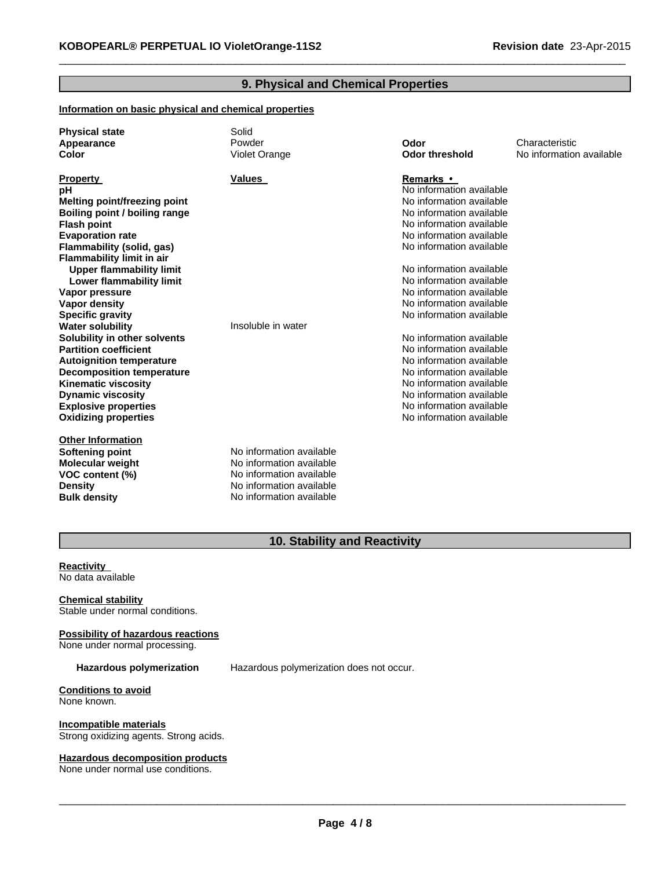# **9. Physical and Chemical Properties**

 $\_$  , and the set of the set of the set of the set of the set of the set of the set of the set of the set of the set of the set of the set of the set of the set of the set of the set of the set of the set of the set of th

## **Information on basic physical and chemical properties**

| <b>Physical state</b><br>Appearance<br>Color | Solid<br>Powder<br>Violet Orange | Odor<br><b>Odor threshold</b> | Characteristic<br>No information available |
|----------------------------------------------|----------------------------------|-------------------------------|--------------------------------------------|
| <b>Property</b>                              | Values                           | <b>Remarks</b> •              |                                            |
| рH                                           |                                  | No information available      |                                            |
| <b>Melting point/freezing point</b>          |                                  | No information available      |                                            |
| Boiling point / boiling range                |                                  | No information available      |                                            |
| <b>Flash point</b>                           |                                  | No information available      |                                            |
| <b>Evaporation rate</b>                      |                                  | No information available      |                                            |
| Flammability (solid, gas)                    |                                  | No information available      |                                            |
| <b>Flammability limit in air</b>             |                                  |                               |                                            |
| <b>Upper flammability limit</b>              |                                  | No information available      |                                            |
| Lower flammability limit                     |                                  | No information available      |                                            |
| Vapor pressure                               |                                  | No information available      |                                            |
| Vapor density                                |                                  | No information available      |                                            |
| <b>Specific gravity</b>                      |                                  | No information available      |                                            |
| <b>Water solubility</b>                      | Insoluble in water               |                               |                                            |
| Solubility in other solvents                 |                                  | No information available      |                                            |
| <b>Partition coefficient</b>                 |                                  | No information available      |                                            |
| <b>Autoignition temperature</b>              |                                  | No information available      |                                            |
| <b>Decomposition temperature</b>             |                                  | No information available      |                                            |
| <b>Kinematic viscosity</b>                   |                                  | No information available      |                                            |
| <b>Dynamic viscosity</b>                     |                                  | No information available      |                                            |
| <b>Explosive properties</b>                  |                                  | No information available      |                                            |
| <b>Oxidizing properties</b>                  |                                  | No information available      |                                            |
| <b>Other Information</b>                     |                                  |                               |                                            |
| <b>Softening point</b>                       | No information available         |                               |                                            |
| <b>Molecular weight</b>                      | No information available         |                               |                                            |
| VOC content (%)                              | No information available         |                               |                                            |
| <b>Density</b>                               | No information available         |                               |                                            |
| <b>Bulk density</b>                          | No information available         |                               |                                            |

# **10. Stability and Reactivity**

#### **Reactivity** No data available

# **Chemical stability**

Stable under normal conditions.

#### **Possibility of hazardous reactions** None under normal processing.

**Hazardous polymerization** Hazardous polymerization does not occur.

#### **Conditions to avoid** None known.

**Incompatible materials** Strong oxidizing agents. Strong acids.

# **Hazardous decomposition products**

None under normal use conditions.

 $\_$  , and the contribution of the contribution of the contribution of the contribution of  $\mathcal{L}_\text{max}$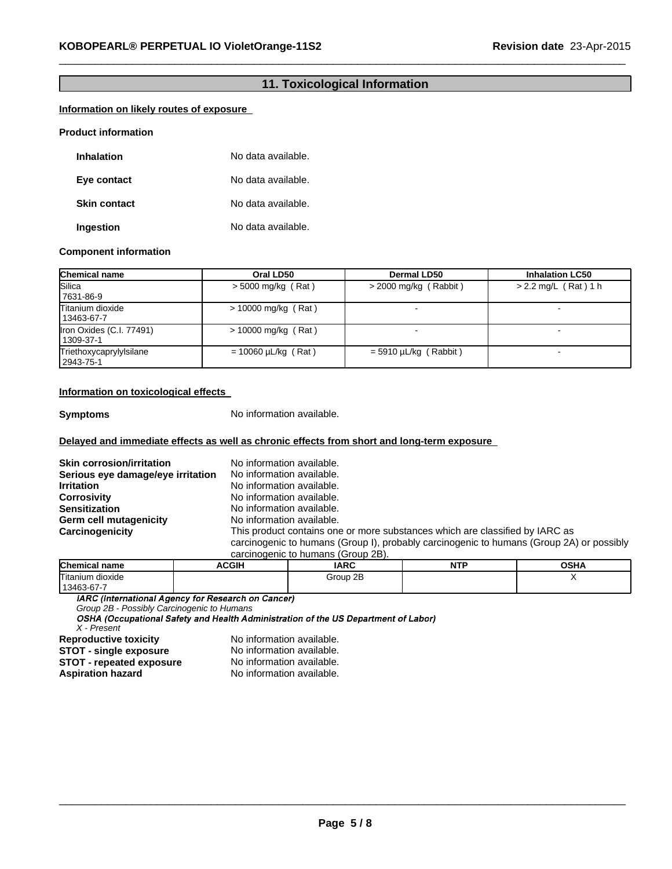# **11. Toxicological Information**

 $\_$  , and the set of the set of the set of the set of the set of the set of the set of the set of the set of the set of the set of the set of the set of the set of the set of the set of the set of the set of the set of th

# **Information on likely routes of exposure**

### **Product information**

| <b>Inhalation</b>   | No data available. |
|---------------------|--------------------|
| Eye contact         | No data available. |
| <b>Skin contact</b> | No data available. |
| Ingestion           | No data available. |

#### **Component information**

| <b>Chemical name</b>                  | Oral LD50                | <b>Dermal LD50</b>      | <b>Inhalation LC50</b> |
|---------------------------------------|--------------------------|-------------------------|------------------------|
| Silica<br>7631-86-9                   | $>$ 5000 mg/kg (Rat)     | $>$ 2000 mg/kg (Rabbit) | $> 2.2$ mg/L (Rat) 1 h |
| Titanium dioxide<br>13463-67-7        | $> 10000$ mg/kg (Rat)    |                         |                        |
| Iron Oxides (C.I. 77491)<br>1309-37-1 | $> 10000$ mg/kg (Rat)    |                         |                        |
| Triethoxycaprylylsilane<br>2943-75-1  | $= 10060 \mu L/kg$ (Rat) | $=$ 5910 µL/kg (Rabbit) | -                      |

# **Information on toxicological effects**

**Symptoms** No information available.

## **Delayed and immediate effects as well as chronic effects from short and long-term exposure**

| <b>Skin corrosion/irritation</b>  | No information available.                                                                |
|-----------------------------------|------------------------------------------------------------------------------------------|
| Serious eye damage/eye irritation | No information available.                                                                |
| <b>Irritation</b>                 | No information available.                                                                |
| <b>Corrosivity</b>                | No information available.                                                                |
| <b>Sensitization</b>              | No information available.                                                                |
| <b>Germ cell mutagenicity</b>     | No information available.                                                                |
| Carcinogenicity                   | This product contains one or more substances which are classified by IARC as             |
|                                   | carcinogenic to humans (Group I), probably carcinogenic to humans (Group 2A) or possibly |
|                                   | carcinogenic to humans (Group 2B).                                                       |

| <b>Chemical name</b>               | ACGIH | <b>IARC</b> | <b>NITD</b> | <b>OSHA</b> |
|------------------------------------|-------|-------------|-------------|-------------|
| −−<br>$\cdots$<br>Titanium dioxide |       | 2B<br>Group |             |             |
| 13463-67-7                         |       |             |             |             |

*Group 2B - Possibly Carcinogenic to Humans X - Present*

**Aspiration hazard** 

No information available.<br>No information available. **STOT** - **single exposure** No information available.<br>**STOT** - **repeated exposure** No information available. **STOT - repeated exposure** No information available.<br> **Aspiration hazard** No information available.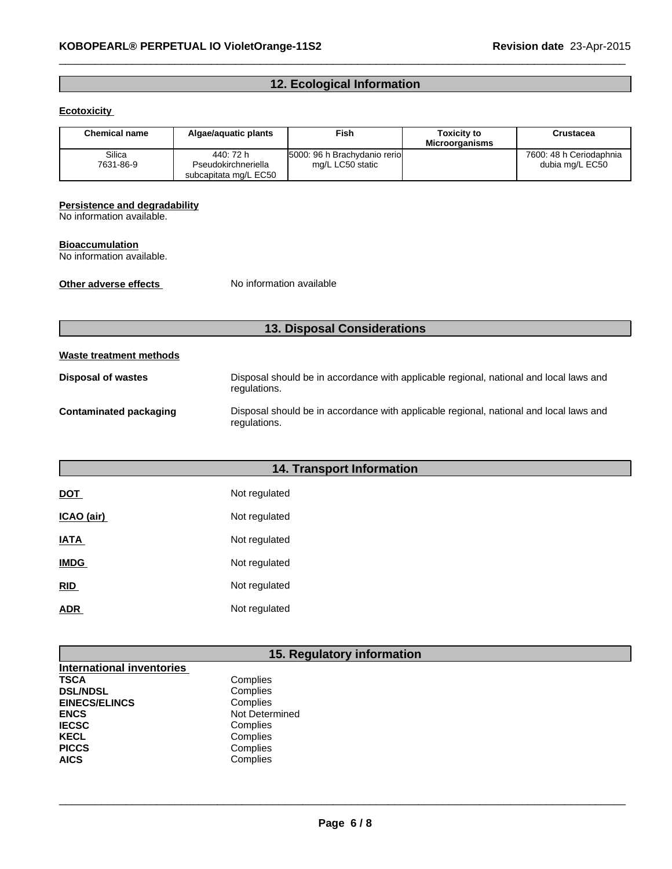# **12. Ecological Information**

 $\_$  , and the set of the set of the set of the set of the set of the set of the set of the set of the set of the set of the set of the set of the set of the set of the set of the set of the set of the set of the set of th

# **Ecotoxicity**

| <b>Chemical name</b> | Algae/aguatic plants                                      | <b>Fish</b>                                      | <b>Toxicity to</b><br><b>Microorganisms</b> | Crustacea                                  |
|----------------------|-----------------------------------------------------------|--------------------------------------------------|---------------------------------------------|--------------------------------------------|
| Silica<br>7631-86-9  | 440: 72 h<br>Pseudokirchneriella<br>subcapitata mg/L EC50 | 5000: 96 h Brachydanio rerio<br>mg/L LC50 static |                                             | 7600: 48 h Ceriodaphnia<br>dubia mg/L EC50 |

#### **Persistence and degradability**

No information available.

## **Bioaccumulation**

No information available.

**Other adverse effects** No information available

# **13. Disposal Considerations**

# **Waste treatment methods**

| <b>Disposal of wastes</b> | Disposal should be in accordance with applicable regional, national and local laws and<br>regulations. |
|---------------------------|--------------------------------------------------------------------------------------------------------|
| Contaminated packaging    | Disposal should be in accordance with applicable regional, national and local laws and<br>regulations. |

# **14. Transport Information**

| <b>DOT</b>  | Not regulated |
|-------------|---------------|
| ICAO (air)  | Not regulated |
| <b>IATA</b> | Not regulated |
| <b>IMDG</b> | Not regulated |
| <b>RID</b>  | Not regulated |
| ADR         | Not regulated |

# **15. Regulatory information**

| <b>International inventories</b> |                |
|----------------------------------|----------------|
| TSCA                             | Complies       |
| <b>DSL/NDSL</b>                  | Complies       |
| <b>EINECS/ELINCS</b>             | Complies       |
| ENCS                             | Not Determined |
| <b>IECSC</b>                     | Complies       |
| KECL                             | Complies       |
| <b>PICCS</b>                     | Complies       |
| AICS                             | Complies       |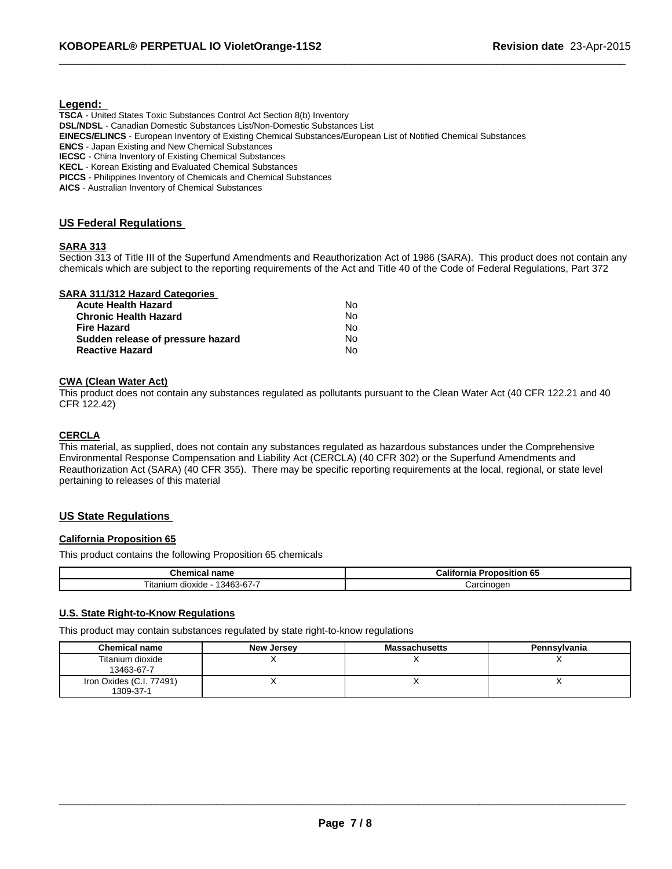### **Legend:**

**TSCA** - United States Toxic Substances Control Act Section 8(b) Inventory **DSL/NDSL** - Canadian Domestic Substances List/Non-Domestic Substances List **EINECS/ELINCS** - European Inventory of Existing Chemical Substances/European List of Notified Chemical Substances **ENCS** - Japan Existing and New Chemical Substances **IECSC** - China Inventory of Existing Chemical Substances **KECL** - Korean Existing and Evaluated Chemical Substances **PICCS** - Philippines Inventory of Chemicals and Chemical Substances

**AICS** - Australian Inventory of Chemical Substances

## **US Federal Regulations**

## **SARA 313**

Section 313 of Title III of the Superfund Amendments and Reauthorization Act of 1986 (SARA). This product does not contain any chemicals which are subject to the reporting requirements of the Act and Title 40 of the Code of Federal Regulations, Part 372

 $\_$  , and the set of the set of the set of the set of the set of the set of the set of the set of the set of the set of the set of the set of the set of the set of the set of the set of the set of the set of the set of th

|  |  | <b>SARA 311/312 Hazard Categories</b> |
|--|--|---------------------------------------|
|  |  |                                       |

| Nο |
|----|
| Nο |
| Nο |
| Nο |
| N٥ |
|    |

#### **CWA (Clean Water Act)**

This product does not contain any substances regulated as pollutants pursuant to the Clean Water Act (40 CFR 122.21 and 40 CFR 122.42)

## **CERCLA**

This material, as supplied, does not contain any substances regulated as hazardous substances under the Comprehensive Environmental Response Compensation and Liability Act (CERCLA) (40 CFR 302) or the Superfund Amendments and Reauthorization Act (SARA) (40 CFR 355). There may be specific reporting requirements at the local, regional, or state level pertaining to releases of this material

## **US State Regulations**

## **California Proposition 65**

This product contains the following Proposition 65 chemicals

| name<br>.<br>.ner<br>.nemical              | Califo<br>- -<br>----<br>roposition 65<br>nıa |  |
|--------------------------------------------|-----------------------------------------------|--|
| $\sim$<br>13463-67-7<br>itanium<br>dioxide | شarcınoαer                                    |  |

## **U.S. State Right-to-Know Regulations**

This product may contain substances regulated by state right-to-know regulations

| <b>Chemical name</b>                  | New Jersey | <b>Massachusetts</b> | <b>Pennsylvania</b> |
|---------------------------------------|------------|----------------------|---------------------|
| Titanium dioxide<br>13463-67-7        |            |                      |                     |
| Iron Oxides (C.I. 77491)<br>1309-37-1 |            | ,,                   |                     |